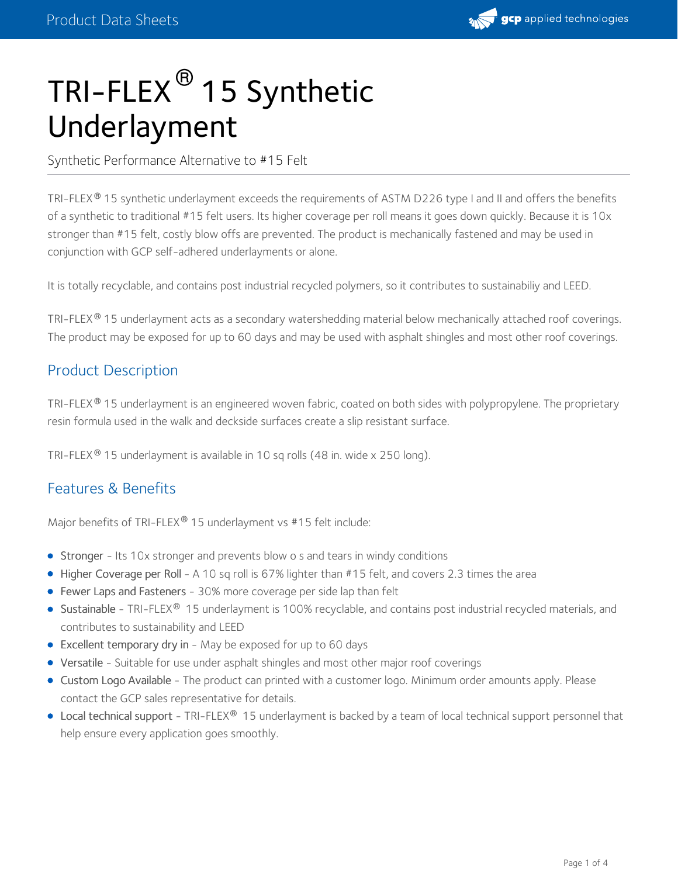

# TRI-FLEX® 15 Synthetic Underlayment

Synthetic Performance Alternative to #15 Felt

TRI-FLEX 15 synthetic underlayment exceeds the requirements of ASTM D226 type I and II and offers the benefits ® of a synthetic to traditional #15 felt users. Its higher coverage per roll means it goes down quickly. Because it is 10x stronger than #15 felt, costly blow offs are prevented. The product is mechanically fastened and may be used in conjunction with GCP self-adhered underlayments or alone.

It is totally recyclable, and contains post industrial recycled polymers, so it contributes to sustainabiliy and LEED.

TRI-FLEX® 15 underlayment acts as a secondary watershedding material below mechanically attached roof coverings. The product may be exposed for up to 60 days and may be used with asphalt shingles and most other roof coverings.

## Product Description

TRI-FLEX® 15 underlayment is an engineered woven fabric, coated on both sides with polypropylene. The proprietary resin formula used in the walk and deckside surfaces create a slip resistant surface.

TRI-FLEX® 15 underlayment is available in 10 sq rolls (48 in. wide x 250 long).

## Features & Benefits

Major benefits of TRI-FLEX® 15 underlayment vs #15 felt include:

- Stronger Its 10x stronger and prevents blow o s and tears in windy conditions
- Higher Coverage per Roll A 10 sq roll is 67% lighter than #15 felt, and covers 2.3 times the area
- Fewer Laps and Fasteners 30% more coverage per side lap than felt
- Sustainable TRI-FLEX® 15 underlayment is 100% recyclable, and contains post industrial recycled materials, and contributes to sustainability and LEED
- Excellent temporary dry in May be exposed for up to 60 days
- Versatile Suitable for use under asphalt shingles and most other major roof coverings
- Custom Logo Available The product can printed with a customer logo. Minimum order amounts apply. Please contact the GCP sales representative for details.
- Local technical support TRI-FLEX® 15 underlayment is backed by a team of local technical support personnel that help ensure every application goes smoothly.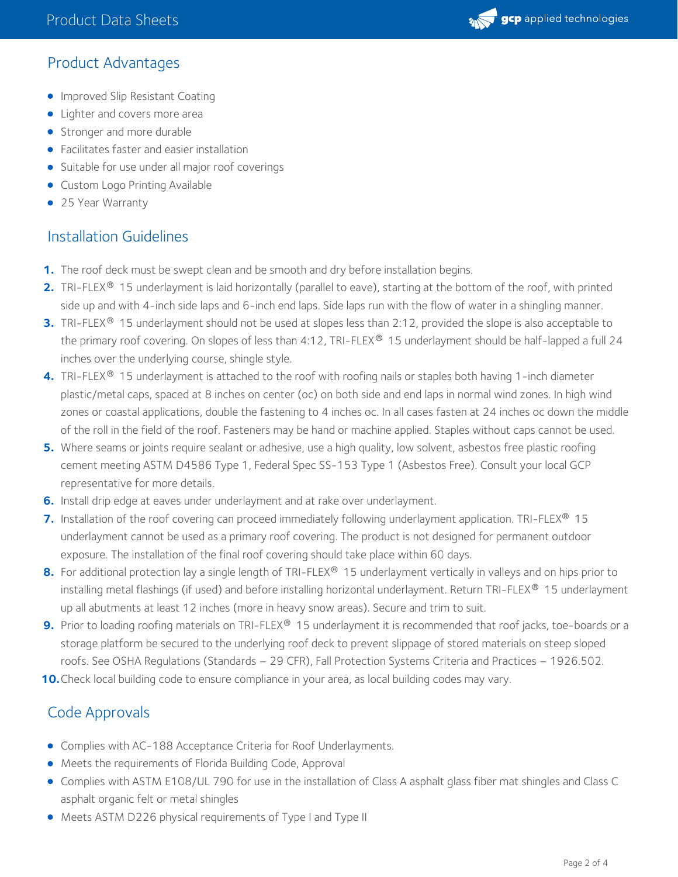

## Product Advantages

- **Improved Slip Resistant Coating**
- Lighter and covers more area
- Stronger and more durable
- Facilitates faster and easier installation
- Suitable for use under all major roof coverings
- Custom Logo Printing Available
- 25 Year Warranty

## Installation Guidelines

- **1.** The roof deck must be swept clean and be smooth and dry before installation begins.
- 2. TRI-FLEX<sup>®</sup> 15 underlayment is laid horizontally (parallel to eave), starting at the bottom of the roof, with printed side up and with 4-inch side laps and 6-inch end laps. Side laps run with the flow of water in a shingling manner.
- **3.** TRI-FLEX® 15 underlayment should not be used at slopes less than 2:12, provided the slope is also acceptable to the primary roof covering. On slopes of less than 4:12, TRI-FLEX® 15 underlayment should be half-lapped a full 24 inches over the underlying course, shingle style.
- **4.** TRI-FLEX® 15 underlayment is attached to the roof with roofing nails or staples both having 1-inch diameter plastic/metal caps, spaced at 8 inches on center (oc) on both side and end laps in normal wind zones. In high wind zones or coastal applications, double the fastening to 4 inches oc. In all cases fasten at 24 inches oc down the middle of the roll in the field of the roof. Fasteners may be hand or machine applied. Staples without caps cannot be used.
- **5.** Where seams or joints require sealant or adhesive, use a high quality, low solvent, asbestos free plastic roofing cement meeting ASTM D4586 Type 1, Federal Spec SS-153 Type 1 (Asbestos Free). Consult your local GCP representative for more details.
- **6.** Install drip edge at eaves under underlayment and at rake over underlayment.
- **7.** Installation of the roof covering can proceed immediately following underlayment application. TRI-FLEX® 15 underlayment cannot be used as a primary roof covering. The product is not designed for permanent outdoor exposure. The installation of the final roof covering should take place within 60 days.
- 8. For additional protection lay a single length of TRI-FLEX® 15 underlayment vertically in valleys and on hips prior to installing metal flashings (if used) and before installing horizontal underlayment. Return TRI-FLEX® 15 underlayment up all abutments at least 12 inches (more in heavy snow areas). Secure and trim to suit.
- **9.** Prior to loading roofing materials on TRI-FLEX® 15 underlayment it is recommended that roof jacks, toe-boards or a storage platform be secured to the underlying roof deck to prevent slippage of stored materials on steep sloped roofs. See OSHA Regulations (Standards – 29 CFR), Fall Protection Systems Criteria and Practices – 1926.502.
- **10.** Check local building code to ensure compliance in your area, as local building codes may vary.

## Code Approvals

- Complies with AC-188 Acceptance Criteria for Roof Underlayments.
- Meets the requirements of Florida Building Code, Approval
- Complies with ASTM E108/UL 790 for use in the installation of Class A asphalt glass fiber mat shingles and Class C asphalt organic felt or metal shingles
- Meets ASTM D226 physical requirements of Type I and Type II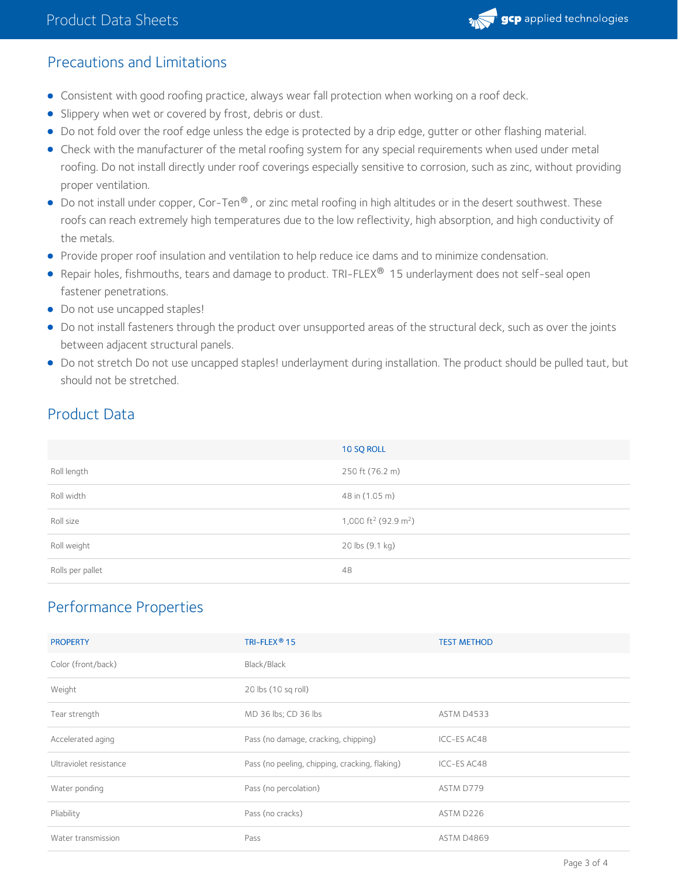

#### Precautions and Limitations

- Consistent with good roofing practice, always wear fall protection when working on a roof deck.
- **Slippery when wet or covered by frost, debris or dust.**
- Do not fold over the roof edge unless the edge is protected by a drip edge, gutter or other flashing material.
- Check with the manufacturer of the metal roofing system for any special requirements when used under metal roofing. Do not install directly under roof coverings especially sensitive to corrosion, such as zinc, without providing proper ventilation.
- Do not install under copper, Cor-Ten® , or zinc metal roofing in high altitudes or in the desert southwest. These roofs can reach extremely high temperatures due to the low reflectivity, high absorption, and high conductivity of the metals.
- **•** Provide proper roof insulation and ventilation to help reduce ice dams and to minimize condensation.
- Repair holes, fishmouths, tears and damage to product. TRI-FLEX® 15 underlayment does not self-seal open fastener penetrations.
- Do not use uncapped staples!
- Do not install fasteners through the product over unsupported areas of the structural deck, such as over the joints between adjacent structural panels.
- Do not stretch Do not use uncapped staples! underlayment during installation. The product should be pulled taut, but should not be stretched.

### Product Data

|                  | 10 SQ ROLL                                   |
|------------------|----------------------------------------------|
| Roll length      | 250 ft (76.2 m)                              |
| Roll width       | 48 in (1.05 m)                               |
| Roll size        | 1,000 ft <sup>2</sup> (92.9 m <sup>2</sup> ) |
| Roll weight      | 20 lbs (9.1 kg)                              |
| Rolls per pallet | 48                                           |

## Performance Properties

| <b>PROPERTY</b>        | TRI-FLEX <sup>®</sup> 15                       | <b>TEST METHOD</b> |
|------------------------|------------------------------------------------|--------------------|
| Color (front/back)     | Black/Black                                    |                    |
| Weight                 | 20 lbs (10 sq roll)                            |                    |
| Tear strength          | MD 36 lbs; CD 36 lbs                           | <b>ASTM D4533</b>  |
| Accelerated aging      | Pass (no damage, cracking, chipping)           | ICC-ES AC48        |
| Ultraviolet resistance | Pass (no peeling, chipping, cracking, flaking) | ICC-ES AC48        |
| Water ponding          | Pass (no percolation)                          | ASTM D779          |
| Pliability             | Pass (no cracks)                               | ASTM D226          |
| Water transmission     | Pass                                           | ASTM D4869         |